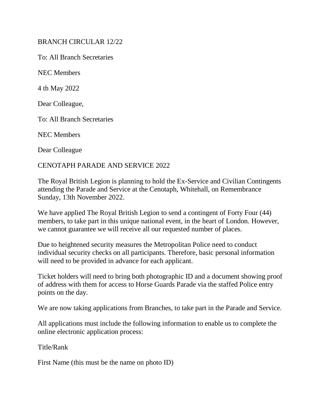## BRANCH CIRCULAR 12/22

To: All Branch Secretaries

NEC Members

4 th May 2022

Dear Colleague,

To: All Branch Secretaries

NEC Members

Dear Colleague

## CENOTAPH PARADE AND SERVICE 2022

The Royal British Legion is planning to hold the Ex-Service and Civilian Contingents attending the Parade and Service at the Cenotaph, Whitehall, on Remembrance Sunday, 13th November 2022.

We have applied The Royal British Legion to send a contingent of Forty Four (44) members, to take part in this unique national event, in the heart of London. However, we cannot guarantee we will receive all our requested number of places.

Due to heightened security measures the Metropolitan Police need to conduct individual security checks on all participants. Therefore, basic personal information will need to be provided in advance for each applicant.

Ticket holders will need to bring both photographic ID and a document showing proof of address with them for access to Horse Guards Parade via the staffed Police entry points on the day.

We are now taking applications from Branches, to take part in the Parade and Service.

All applications must include the following information to enable us to complete the online electronic application process:

Title/Rank

First Name (this must be the name on photo ID)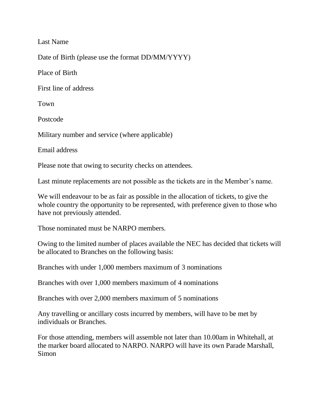Last Name

Date of Birth (please use the format DD/MM/YYYY)

Place of Birth

First line of address

Town

Postcode

Military number and service (where applicable)

Email address

Please note that owing to security checks on attendees.

Last minute replacements are not possible as the tickets are in the Member's name.

We will endeavour to be as fair as possible in the allocation of tickets, to give the whole country the opportunity to be represented, with preference given to those who have not previously attended.

Those nominated must be NARPO members.

Owing to the limited number of places available the NEC has decided that tickets will be allocated to Branches on the following basis:

Branches with under 1,000 members maximum of 3 nominations

Branches with over 1,000 members maximum of 4 nominations

Branches with over 2,000 members maximum of 5 nominations

Any travelling or ancillary costs incurred by members, will have to be met by individuals or Branches.

For those attending, members will assemble not later than 10.00am in Whitehall, at the marker board allocated to NARPO. NARPO will have its own Parade Marshall, Simon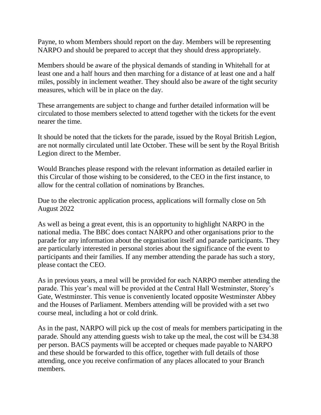Payne, to whom Members should report on the day. Members will be representing NARPO and should be prepared to accept that they should dress appropriately.

Members should be aware of the physical demands of standing in Whitehall for at least one and a half hours and then marching for a distance of at least one and a half miles, possibly in inclement weather. They should also be aware of the tight security measures, which will be in place on the day.

These arrangements are subject to change and further detailed information will be circulated to those members selected to attend together with the tickets for the event nearer the time.

It should be noted that the tickets for the parade, issued by the Royal British Legion, are not normally circulated until late October. These will be sent by the Royal British Legion direct to the Member.

Would Branches please respond with the relevant information as detailed earlier in this Circular of those wishing to be considered, to the CEO in the first instance, to allow for the central collation of nominations by Branches.

Due to the electronic application process, applications will formally close on 5th August 2022

As well as being a great event, this is an opportunity to highlight NARPO in the national media. The BBC does contact NARPO and other organisations prior to the parade for any information about the organisation itself and parade participants. They are particularly interested in personal stories about the significance of the event to participants and their families. If any member attending the parade has such a story, please contact the CEO.

As in previous years, a meal will be provided for each NARPO member attending the parade. This year's meal will be provided at the Central Hall Westminster, Storey's Gate, Westminster. This venue is conveniently located opposite Westminster Abbey and the Houses of Parliament. Members attending will be provided with a set two course meal, including a hot or cold drink.

As in the past, NARPO will pick up the cost of meals for members participating in the parade. Should any attending guests wish to take up the meal, the cost will be £34.38 per person. BACS payments will be accepted or cheques made payable to NARPO and these should be forwarded to this office, together with full details of those attending, once you receive confirmation of any places allocated to your Branch members.